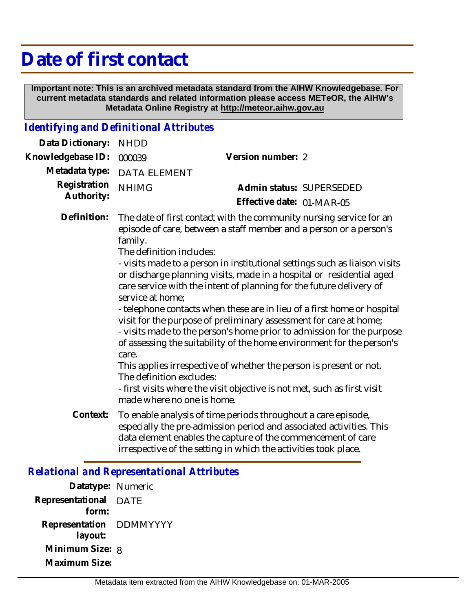# **Date of first contact**

 **Important note: This is an archived metadata standard from the AIHW Knowledgebase. For current metadata standards and related information please access METeOR, the AIHW's Metadata Online Registry at http://meteor.aihw.gov.au**

## *Identifying and Definitional Attributes*

| Data Dictionary:           | <b>NHDD</b>                                                                                                                |                                                                                                                                                                                                                                                                                                                                                                                                                                                                                                                                                                                                                                                                                                                                                                                                                            |
|----------------------------|----------------------------------------------------------------------------------------------------------------------------|----------------------------------------------------------------------------------------------------------------------------------------------------------------------------------------------------------------------------------------------------------------------------------------------------------------------------------------------------------------------------------------------------------------------------------------------------------------------------------------------------------------------------------------------------------------------------------------------------------------------------------------------------------------------------------------------------------------------------------------------------------------------------------------------------------------------------|
| Knowledgebase ID:          | 000039                                                                                                                     | Version number: 2                                                                                                                                                                                                                                                                                                                                                                                                                                                                                                                                                                                                                                                                                                                                                                                                          |
| Metadata type:             | <b>DATA ELEMENT</b>                                                                                                        |                                                                                                                                                                                                                                                                                                                                                                                                                                                                                                                                                                                                                                                                                                                                                                                                                            |
| Registration<br>Authority: | <b>NHIMG</b>                                                                                                               | Admin status: SUPERSEDED<br>Effective date: 01-MAR-05                                                                                                                                                                                                                                                                                                                                                                                                                                                                                                                                                                                                                                                                                                                                                                      |
| Definition:                | family.<br>The definition includes:<br>service at home:<br>care.<br>The definition excludes:<br>made where no one is home. | The date of first contact with the community nursing service for an<br>episode of care, between a staff member and a person or a person's<br>- visits made to a person in institutional settings such as liaison visits<br>or discharge planning visits, made in a hospital or residential aged<br>care service with the intent of planning for the future delivery of<br>- telephone contacts when these are in lieu of a first home or hospital<br>visit for the purpose of preliminary assessment for care at home;<br>- visits made to the person's home prior to admission for the purpose<br>of assessing the suitability of the home environment for the person's<br>This applies irrespective of whether the person is present or not.<br>- first visits where the visit objective is not met, such as first visit |
| Context:                   |                                                                                                                            | To enable analysis of time periods throughout a care episode,<br>especially the pre-admission period and associated activities. This<br>data element enables the capture of the commencement of care<br>irrespective of the setting in which the activities took place.                                                                                                                                                                                                                                                                                                                                                                                                                                                                                                                                                    |

#### *Relational and Representational Attributes*

**Datatype:** Numeric **Representational** DATE  **form: Representation** DDMMYYYY  **layout: Minimum Size:** 8 **Maximum Size:**